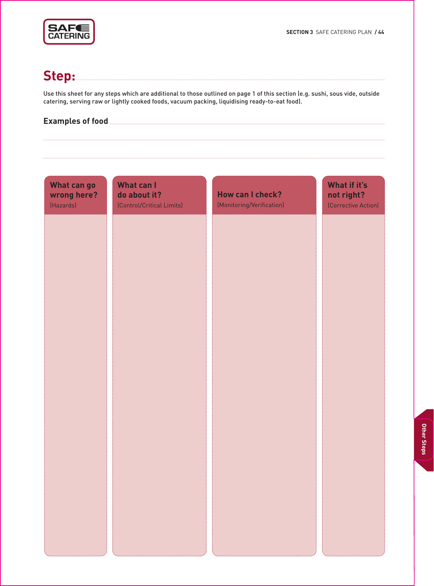

### **Step:**

Use this sheet for any steps which are additional to those outlined on page 1 of this section (e.g. sushi, sous vide, outside catering, serving raw or lightly cooked foods, vacuum packing, liquidising ready-to-eat food).

### **Examples of food**

| What can go<br>wrong here?<br>(Hazards) | <b>What can I</b><br>do about it?<br>(Control/Critical Limits) | <b>How can I check?</b><br>(Monitoring/Verification) | What if it's<br>not right?<br>(Corrective Action) |
|-----------------------------------------|----------------------------------------------------------------|------------------------------------------------------|---------------------------------------------------|
|                                         |                                                                |                                                      |                                                   |
|                                         |                                                                |                                                      |                                                   |
|                                         |                                                                |                                                      |                                                   |
|                                         |                                                                |                                                      |                                                   |
|                                         |                                                                |                                                      |                                                   |
|                                         |                                                                |                                                      |                                                   |
|                                         |                                                                |                                                      |                                                   |
|                                         |                                                                |                                                      |                                                   |
| j                                       |                                                                | j                                                    |                                                   |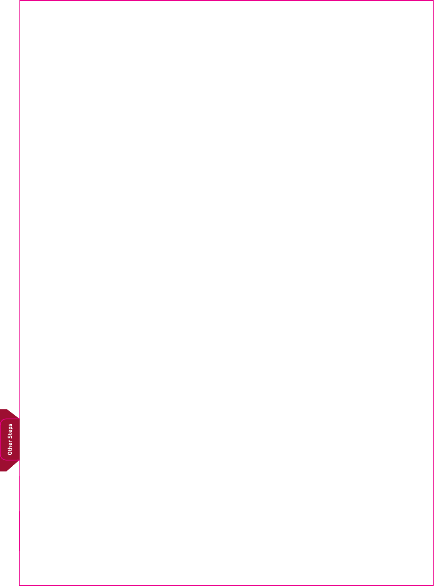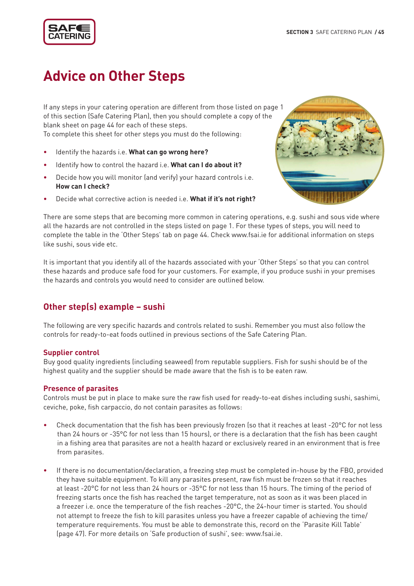

## **Advice on Other Steps**

If any steps in your catering operation are different from those listed on page 1 of this section (Safe Catering Plan), then you should complete a copy of the blank sheet on page 44 for each of these steps.

To complete this sheet for other steps you must do the following:

- Identify the hazards i.e. **What can go wrong here?**
- Identify how to control the hazard i.e. **What can I do about it?**
- Decide how you will monitor (and verify) your hazard controls i.e. **How can I check?**
- Decide what corrective action is needed i.e. **What if it's not right?**



There are some steps that are becoming more common in catering operations, e.g. sushi and sous vide where all the hazards are not controlled in the steps listed on page 1. For these types of steps, you will need to complete the table in the 'Other Steps' tab on page 44. Check www.fsai.ie for additional information on steps like sushi, sous vide etc.

It is important that you identify all of the hazards associated with your 'Other Steps' so that you can control these hazards and produce safe food for your customers. For example, if you produce sushi in your premises the hazards and controls you would need to consider are outlined below.

### **Other step(s) example – sushi**

The following are very specific hazards and controls related to sushi. Remember you must also follow the controls for ready-to-eat foods outlined in previous sections of the Safe Catering Plan.

#### **Supplier control**

Buy good quality ingredients (including seaweed) from reputable suppliers. Fish for sushi should be of the highest quality and the supplier should be made aware that the fish is to be eaten raw.

#### **Presence of parasites**

Controls must be put in place to make sure the raw fish used for ready-to-eat dishes including sushi, sashimi, ceviche, poke, fish carpaccio, do not contain parasites as follows:

- Check documentation that the fish has been previously frozen (so that it reaches at least -20°C for not less than 24 hours or -35°C for not less than 15 hours), or there is a declaration that the fish has been caught in a fishing area that parasites are not a health hazard or exclusively reared in an environment that is free from parasites.
- If there is no documentation/declaration, a freezing step must be completed in-house by the FBO, provided they have suitable equipment. To kill any parasites present, raw fish must be frozen so that it reaches at least -20°C for not less than 24 hours or -35°C for not less than 15 hours. The timing of the period of freezing starts once the fish has reached the target temperature, not as soon as it was been placed in a freezer i.e. once the temperature of the fish reaches -20°C, the 24-hour timer is started. You should not attempt to freeze the fish to kill parasites unless you have a freezer capable of achieving the time/ temperature requirements. You must be able to demonstrate this, record on the 'Parasite Kill Table' (page 47). For more details on 'Safe production of sushi', see: www.fsai.ie.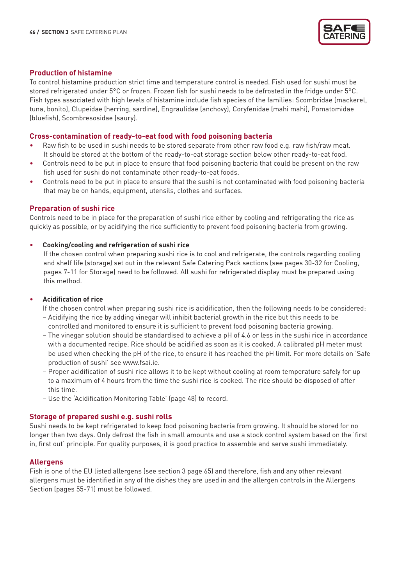

#### **Production of histamine**

To control histamine production strict time and temperature control is needed. Fish used for sushi must be stored refrigerated under 5°C or frozen. Frozen fish for sushi needs to be defrosted in the fridge under 5°C. Fish types associated with high levels of histamine include fish species of the families: Scombridae (mackerel, tuna, bonito), Clupeidae (herring, sardine), Engraulidae (anchovy), Coryfenidae (mahi mahi), Pomatomidae (bluefish), Scombresosidae (saury).

#### **Cross-contamination of ready-to-eat food with food poisoning bacteria**

- Raw fish to be used in sushi needs to be stored separate from other raw food e.g. raw fish/raw meat. It should be stored at the bottom of the ready-to-eat storage section below other ready-to-eat food.
- Controls need to be put in place to ensure that food poisoning bacteria that could be present on the raw fish used for sushi do not contaminate other ready-to-eat foods.
- Controls need to be put in place to ensure that the sushi is not contaminated with food poisoning bacteria that may be on hands, equipment, utensils, clothes and surfaces.

#### **Preparation of sushi rice**

Controls need to be in place for the preparation of sushi rice either by cooling and refrigerating the rice as quickly as possible, or by acidifying the rice sufficiently to prevent food poisoning bacteria from growing.

#### • **Cooking/cooling and refrigeration of sushi rice**

If the chosen control when preparing sushi rice is to cool and refrigerate, the controls regarding cooling and shelf life (storage) set out in the relevant Safe Catering Pack sections (see pages 30-32 for Cooling, pages 7-11 for Storage) need to be followed. All sushi for refrigerated display must be prepared using this method.

#### • **Acidification of rice**

If the chosen control when preparing sushi rice is acidification, then the following needs to be considered:

- Acidifying the rice by adding vinegar will inhibit bacterial growth in the rice but this needs to be controlled and monitored to ensure it is sufficient to prevent food poisoning bacteria growing.
- The vinegar solution should be standardised to achieve a pH of 4.6 or less in the sushi rice in accordance with a documented recipe. Rice should be acidified as soon as it is cooked. A calibrated pH meter must be used when checking the pH of the rice, to ensure it has reached the pH limit. For more details on 'Safe production of sushi' see www.fsai.ie.
- Proper acidification of sushi rice allows it to be kept without cooling at room temperature safely for up to a maximum of 4 hours from the time the sushi rice is cooked. The rice should be disposed of after this time.
- Use the 'Acidification Monitoring Table' (page 48) to record.

#### **Storage of prepared sushi e.g. sushi rolls**

Sushi needs to be kept refrigerated to keep food poisoning bacteria from growing. It should be stored for no longer than two days. Only defrost the fish in small amounts and use a stock control system based on the 'first in, first out' principle. For quality purposes, it is good practice to assemble and serve sushi immediately.

#### **Allergens**

Fish is one of the EU listed allergens (see section 3 page 65) and therefore, fish and any other relevant allergens must be identified in any of the dishes they are used in and the allergen controls in the Allergens Section (pages 55-71) must be followed.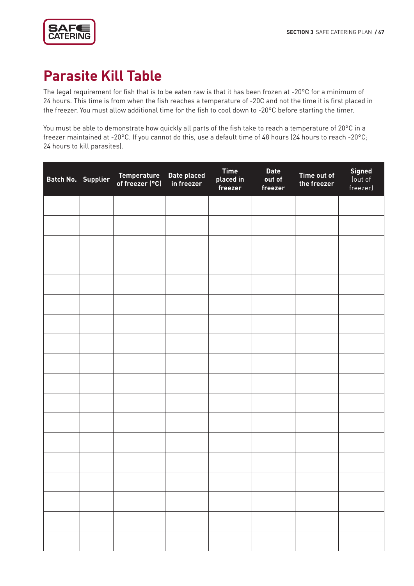

## **Parasite Kill Table**

The legal requirement for fish that is to be eaten raw is that it has been frozen at -20°C for a minimum of 24 hours. This time is from when the fish reaches a temperature of -20C and not the time it is first placed in the freezer. You must allow additional time for the fish to cool down to -20°C before starting the timer.

You must be able to demonstrate how quickly all parts of the fish take to reach a temperature of 20°C in a freezer maintained at -20°C. If you cannot do this, use a default time of 48 hours (24 hours to reach -20°C; 24 hours to kill parasites).

| <b>Batch No. Supplier</b> | Temperature<br>of freezer (°C) | Date placed<br>in freezer | <b>Time</b><br>placed in<br>freezer | <b>Date</b><br>out of<br>freezer | Time out of<br>the freezer | Signed<br>(out of<br>freezer) |
|---------------------------|--------------------------------|---------------------------|-------------------------------------|----------------------------------|----------------------------|-------------------------------|
|                           |                                |                           |                                     |                                  |                            |                               |
|                           |                                |                           |                                     |                                  |                            |                               |
|                           |                                |                           |                                     |                                  |                            |                               |
|                           |                                |                           |                                     |                                  |                            |                               |
|                           |                                |                           |                                     |                                  |                            |                               |
|                           |                                |                           |                                     |                                  |                            |                               |
|                           |                                |                           |                                     |                                  |                            |                               |
|                           |                                |                           |                                     |                                  |                            |                               |
|                           |                                |                           |                                     |                                  |                            |                               |
|                           |                                |                           |                                     |                                  |                            |                               |
|                           |                                |                           |                                     |                                  |                            |                               |
|                           |                                |                           |                                     |                                  |                            |                               |
|                           |                                |                           |                                     |                                  |                            |                               |
|                           |                                |                           |                                     |                                  |                            |                               |
|                           |                                |                           |                                     |                                  |                            |                               |
|                           |                                |                           |                                     |                                  |                            |                               |
|                           |                                |                           |                                     |                                  |                            |                               |
|                           |                                |                           |                                     |                                  |                            |                               |